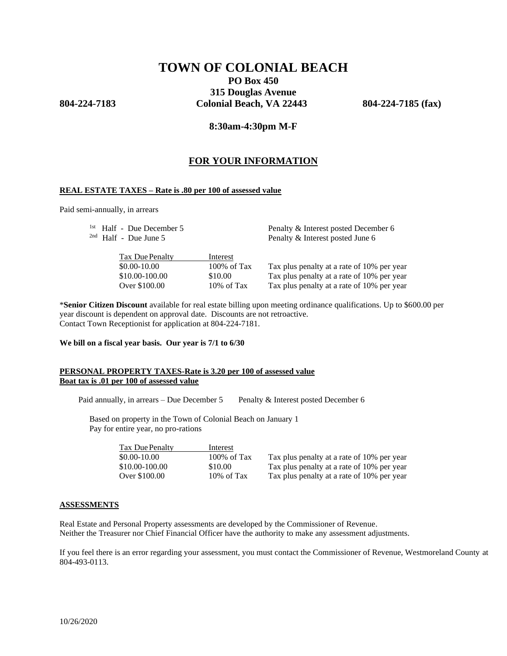# **TOWN OF COLONIAL BEACH PO Box 450**

**315 Douglas Avenue 804-224-7183 Colonial Beach, VA 22443 804-224-7185 (fax)**

## **8:30am-4:30pm M-F**

## **FOR YOUR INFORMATION**

## **REAL ESTATE TAXES – Rate is .80 per 100 of assessed value**

Paid semi-annually, in arrears

|                | Penalty & Interest posted December 6<br>Penalty & Interest posted June 6 |  |  |
|----------------|--------------------------------------------------------------------------|--|--|
| Interest       |                                                                          |  |  |
| $100\%$ of Tax | Tax plus penalty at a rate of 10% per year                               |  |  |
| \$10.00        | Tax plus penalty at a rate of 10% per year                               |  |  |
| $10\%$ of Tax  | Tax plus penalty at a rate of 10% per year                               |  |  |
|                | <sup>1st</sup> Half - Due December 5                                     |  |  |

\***Senior Citizen Discount** available for real estate billing upon meeting ordinance qualifications. Up to \$600.00 per year discount is dependent on approval date. Discounts are not retroactive. Contact Town Receptionist for application at 804-224-7181.

**We bill on a fiscal year basis. Our year is 7/1 to 6/30**

## **PERSONAL PROPERTY TAXES-Rate is 3.20 per 100 of assessed value Boat tax is .01 per 100 of assessed value**

Paid annually, in arrears – Due December 5 Penalty & Interest posted December 6

Based on property in the Town of Colonial Beach on January 1 Pay for entire year, no pro-rations

| Tax Due Penalty | Interest               |                                            |
|-----------------|------------------------|--------------------------------------------|
| $$0.00-10.00$   | $100\% \text{ of Tax}$ | Tax plus penalty at a rate of 10% per year |
| \$10.00-100.00  | \$10.00                | Tax plus penalty at a rate of 10% per year |
| Over \$100.00   | $10\% \text{ of Tax}$  | Tax plus penalty at a rate of 10% per year |

#### **ASSESSMENTS**

Real Estate and Personal Property assessments are developed by the Commissioner of Revenue. Neither the Treasurer nor Chief Financial Officer have the authority to make any assessment adjustments.

If you feel there is an error regarding your assessment, you must contact the Commissioner of Revenue, Westmoreland County at 804-493-0113.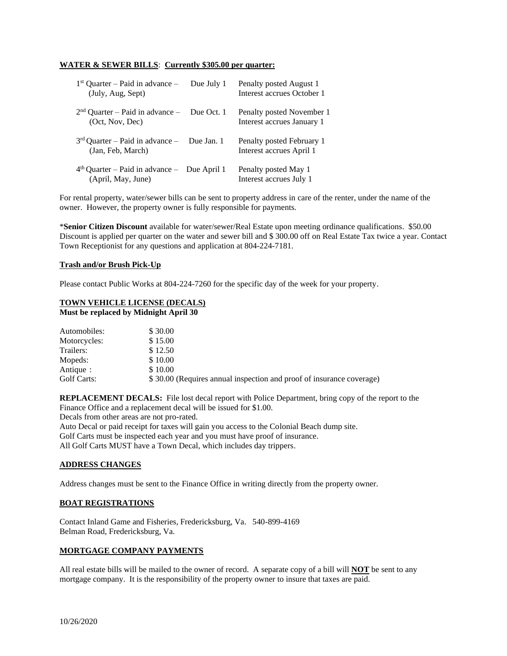## **WATER & SEWER BILLS**: **Currently \$305.00 per quarter:**

| $1st$ Quarter – Paid in advance –<br>(July, Aug, Sept)              | Due July 1 | Penalty posted August 1<br>Interest accrues October 1   |
|---------------------------------------------------------------------|------------|---------------------------------------------------------|
| $2nd$ Quarter – Paid in advance – Due Oct. 1<br>(Oct, Nov, Dec)     |            | Penalty posted November 1<br>Interest accrues January 1 |
| $3rd$ Quarter – Paid in advance – Due Jan. 1<br>(Jan, Feb, March)   |            | Penalty posted February 1<br>Interest accrues April 1   |
| $4th$ Quarter – Paid in advance – Due April 1<br>(April, May, June) |            | Penalty posted May 1<br>Interest accrues July 1         |

For rental property, water/sewer bills can be sent to property address in care of the renter, under the name of the owner. However, the property owner is fully responsible for payments.

\***Senior Citizen Discount** available for water/sewer/Real Estate upon meeting ordinance qualifications. \$50.00 Discount is applied per quarter on the water and sewer bill and \$ 300.00 off on Real Estate Tax twice a year. Contact Town Receptionist for any questions and application at 804-224-7181.

## **Trash and/or Brush Pick-Up**

Please contact Public Works at 804-224-7260 for the specific day of the week for your property.

## **TOWN VEHICLE LICENSE (DECALS) Must be replaced by Midnight April 30**

| Automobiles: | \$30.00                                                              |
|--------------|----------------------------------------------------------------------|
| Motorcycles: | \$15.00                                                              |
| Trailers:    | \$12.50                                                              |
| Mopeds:      | \$10.00                                                              |
| Antique:     | \$10.00                                                              |
| Golf Carts:  | \$30.00 (Requires annual inspection and proof of insurance coverage) |

**REPLACEMENT DECALS:** File lost decal report with Police Department, bring copy of the report to the Finance Office and a replacement decal will be issued for \$1.00.

Decals from other areas are not pro-rated.

Auto Decal or paid receipt for taxes will gain you access to the Colonial Beach dump site. Golf Carts must be inspected each year and you must have proof of insurance. All Golf Carts MUST have a Town Decal, which includes day trippers.

## **ADDRESS CHANGES**

Address changes must be sent to the Finance Office in writing directly from the property owner.

#### **BOAT REGISTRATIONS**

Contact Inland Game and Fisheries, Fredericksburg, Va. 540-899-4169 Belman Road, Fredericksburg, Va.

## **MORTGAGE COMPANY PAYMENTS**

All real estate bills will be mailed to the owner of record. A separate copy of a bill will **NOT** be sent to any mortgage company. It is the responsibility of the property owner to insure that taxes are paid.